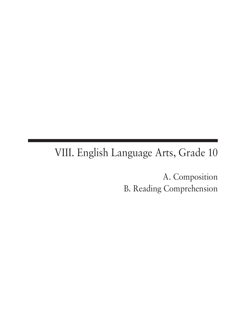# VIII. English Language Arts, Grade 10

A. Composition B. Reading Comprehension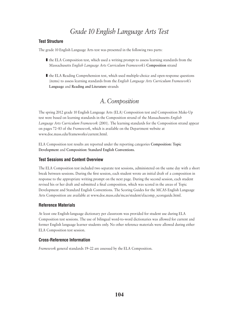## *Grade 10 English Language Arts Test*

#### **Test Structure**

The grade 10 English Language Arts test was presented in the following two parts:

- the ELA Composition test, which used a writing prompt to assess learning standards from the Massachusetts *English Language Arts Curriculum Framework's* **Composition** strand
- the ELA Reading Comprehension test, which used multiple-choice and open-response questions (items) to assess learning standards from the *English Language Arts Curriculum Framework's* **Language** and **Reading and Literature** strands

### *A. Composition*

The spring 2012 grade 10 English Language Arts (ELA) Composition test and Composition Make-Up test were based on learning standards in the Composition strand of the Massachusetts *English Language Arts Curriculum Framework* (2001). The learning standards for the Composition strand appear on pages 72–83 of the *Framework*, which is available on the Department website at www.doe.mass.edu/frameworks/current.html.

ELA Composition test results are reported under the reporting categories **Composition: Topic Development** and **Composition: Standard English Conventions**.

#### **Test Sessions and Content Overview**

The ELA Composition test included two separate test sessions, administered on the same day with a short break between sessions. During the first session, each student wrote an initial draft of a composition in response to the appropriate writing prompt on the next page. During the second session, each student revised his or her draft and submitted a final composition, which was scored in the areas of Topic Development and Standard English Conventions. The Scoring Guides for the MCAS English Language Arts Composition are available at www.doe.mass.edu/mcas/student/elacomp\_scoreguide.html.

#### **Reference Materials**

At least one English-language dictionary per classroom was provided for student use during ELA Composition test sessions. The use of bilingual word-to-word dictionaries was allowed for current and former English language learner students only. No other reference materials were allowed during either ELA Composition test session.

#### **Cross-Reference Information**

*Framework* general standards 19–22 are assessed by the ELA Composition.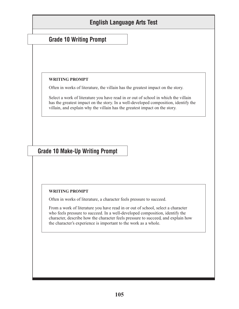## **English Language Arts Test**

### **Grade 10 Writing Prompt**

#### **WRITING PROMPT**

Often in works of literature, the villain has the greatest impact on the story.

Select a work of literature you have read in or out of school in which the villain has the greatest impact on the story. In a well-developed composition, identify the villain, and explain why the villain has the greatest impact on the story.

## **Grade 10 Make-Up Writing Prompt**

#### **WRITING PROMPT**

Often in works of literature, a character feels pressure to succeed.

From a work of literature you have read in or out of school, select a character who feels pressure to succeed. In a well-developed composition, identify the character, describe how the character feels pressure to succeed, and explain how the character's experience is important to the work as a whole.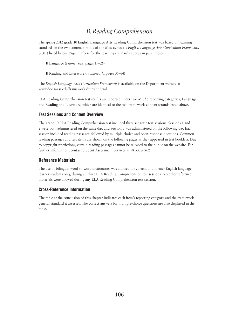## *B. Reading Comprehension*

The spring 2012 grade 10 English Language Arts Reading Comprehension test was based on learning standards in the two content strands of the Massachusetts *English Language Arts Curriculum Framework* (2001) listed below. Page numbers for the learning standards appear in parentheses.

- Language (*Framework*, pages 19–26)
- Reading and Literature (*Framework*, pages 35–64)

The *English Language Arts Curriculum Framework* is available on the Department website at www.doe.mass.edu/frameworks/current.html.

ELA Reading Comprehension test results are reported under two MCAS reporting categories, **Language** and **Reading and Literature**, which are identical to the two framework content strands listed above.

#### **Test Sessions and Content Overview**

The grade 10 ELA Reading Comprehension test included three separate test sessions. Sessions 1 and 2 were both administered on the same day, and Session 3 was administered on the following day. Each session included reading passages, followed by multiple-choice and open-response questions. Common reading passages and test items are shown on the following pages as they appeared in test booklets. Due to copyright restrictions, certain reading passages cannot be released to the public on the website. For further information, contact Student Assessment Services at 781-338-3625.

#### **Reference Materials**

The use of bilingual word-to-word dictionaries was allowed for current and former English language learner students only, during all three ELA Reading Comprehension test sessions. No other reference materials were allowed during any ELA Reading Comprehension test session.

#### **Cross-Reference Information**

The table at the conclusion of this chapter indicates each item's reporting category and the framework general standard it assesses. The correct answers for multiple-choice questions are also displayed in the table.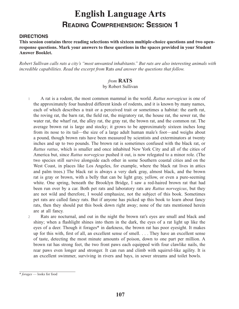## **English Language Arts Reading Comprehension: Session 1**

#### **DIRECTIONS**

**This session contains three reading selections with sixteen multiple-choice questions and two openresponse questions. Mark your answers to these questions in the spaces provided in your Student Answer Booklet.**

*Robert Sullivan calls rats a city's "most unwanted inhabitants." But rats are also interesting animals with incredible capabilities. Read the excerpt from* Rats *and answer the questions that follow.*

#### *from* **RATS**

by Robert Sullivan

- 1 A rat is a rodent, the most common mammal in the world. *Rattus norvegicus* is one of the approximately four hundred different kinds of rodents, and it is known by many names, each of which describes a trait or a perceived trait or sometimes a habitat: the earth rat, the roving rat, the barn rat, the field rat, the migratory rat, the house rat, the sewer rat, the water rat, the wharf rat, the alley rat, the gray rat, the brown rat, and the common rat. The average brown rat is large and stocky; it grows to be approximately sixteen inches long from its nose to its tail—the size of a large adult human male's foot—and weighs about a pound, though brown rats have been measured by scientists and exterminators at twenty inches and up to two pounds. The brown rat is sometimes confused with the black rat, or *Rattus rattus*, which is smaller and once inhabited New York City and all of the cities of America but, since *Rattus norvegicus* pushed it out, is now relegated to a minor role. (The two species still survive alongside each other in some Southern coastal cities and on the West Coast, in places like Los Angeles, for example, where the black rat lives in attics and palm trees.) The black rat is always a very dark gray, almost black, and the brown rat is gray or brown, with a belly that can be light gray, yellow, or even a pure-seeming white. One spring, beneath the Brooklyn Bridge, I saw a red-haired brown rat that had been run over by a car. Both pet rats and laboratory rats are *Rattus norvegicus*, but they are not wild and therefore, I would emphasize, not the subject of this book. Sometimes pet rats are called fancy rats. But if anyone has picked up this book to learn about fancy rats, then they should put this book down right away; none of the rats mentioned herein are at all fancy.
- 2 Rats are nocturnal, and out in the night the brown rat's eyes are small and black and shiny; when a flashlight shines into them in the dark, the eyes of a rat light up like the eyes of a deer. Though it forages\* in darkness, the brown rat has poor eyesight. It makes up for this with, first of all, an excellent sense of smell. . . . They have an excellent sense of taste, detecting the most minute amounts of poison, down to one part per million. A brown rat has strong feet, the two front paws each equipped with four clawlike nails, the rear paws even longer and stronger. It can run and climb with squirrel-like agility. It is an excellent swimmer, surviving in rivers and bays, in sewer streams and toilet bowls.

<sup>\*</sup> *forages* — looks for food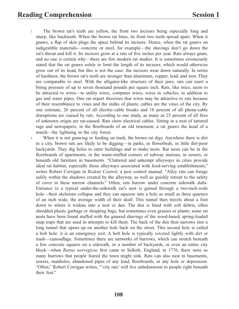- 3 The brown rat's teeth are yellow, the front two incisors being especially long and sharp, like buckteeth. When the brown rat bites, its front two teeth spread apart. When it gnaws, a flap of skin plugs the space behind its incisors. Hence, when the rat gnaws on indigestible materials—concrete or steel, for example—the shavings don't go down the rat's throat and kill it. Its incisors grow at a rate of five inches per year. Rats always gnaw, and no one is certain why—there are few modern rat studies. It is sometimes erroneously stated that the rat gnaws solely to limit the length of its incisors, which would otherwise grow out of its head, but this is not the case: the incisors wear down naturally. In terms of hardness, the brown rat's teeth are stronger than aluminum, copper, lead, and iron. They are comparable to steel. With the alligator-like structure of their jaws, rats can exert a biting pressure of up to seven thousand pounds per square inch. Rats, like mice, seem to be attracted to wires—to utility wires, computer wires, wires in vehicles, in addition to gas and water pipes. One rat expert theorizes that wires may be attractive to rats because of their resemblance to vines and the stalks of plants; cables are the vines of the city. By one estimate, 26 percent of all electric-cable breaks and 18 percent of all phone-cable disruptions are caused by rats. According to one study, as many as 25 percent of all fires of unknown origin are rat-caused. Rats chew electrical cables. Sitting in a nest of tattered rags and newspapers, in the floorboards of an old tenement, a rat gnaws the head of a match—the lightning in the city forest.
- 4 When it is not gnawing or feeding on trash, the brown rat digs. Anywhere there is dirt in a city, brown rats are likely to be digging—in parks, in flowerbeds, in little dirt-poor backyards. They dig holes to enter buildings and to make nests. Rat nests can be in the floorboards of apartments, in the waste-stuffed corners of subway stations, in sewers, or beneath old furniture in basements. "Cluttered and unkempt alleyways in cities provide ideal rat habitat, especially those alleyways associated with food-serving establishments," writes Robert Corrigan in *Rodent Control*, a pest control manual. "Alley rats can forage safely within the shadows created by the alleyway, as well as quickly retreat to the safety of cover in these narrow channels." Often, rats burrow under concrete sidewalk slabs. Entrance to a typical under-the-sidewalk rat's nest is gained through a two-inch-wide hole—their skeletons collapse and they can squeeze into a hole as small as three quarters of an inch wide, the average width of their skull. This tunnel then travels about a foot down to where it widens into a nest or den. The den is lined with soft debris, often shredded plastic garbage or shopping bags, but sometimes even grasses or plants; some rat nests have been found stuffed with the gnawed shavings of the wood-based, spring-loaded snap traps that are used in attempts to kill them. The back of the den then narrows into a long tunnel that opens up on another hole back on the street. This second hole is called a bolt hole; it is an emergency exit. A bolt hole is typically covered lightly with dirt or trash—camouflage. Sometimes there are networks of burrows, which can stretch beneath a few concrete squares on a sidewalk, or a number of backyards, or even an entire city block—when *Rattus norvegicus* first came to Selkirk, England, in 1776, there were so many burrows that people feared the town might sink. Rats can also nest in basements, sewers, manholes, abandoned pipes of any kind, floorboards, or any hole or depression. "Often," Robert Corrigan writes, "'city rats' will live unbeknownst to people right beneath their feet."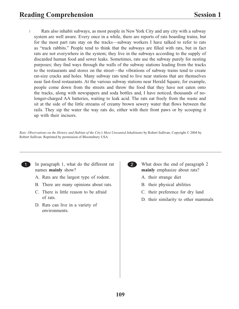5 Rats also inhabit subways, as most people in New York City and any city with a subway system are well aware. Every once in a while, there are reports of rats boarding trains, but for the most part rats stay on the tracks—subway workers I have talked to refer to rats as "track rabbits." People tend to think that the subways are filled with rats, but in fact rats are not everywhere in the system; they live in the subways according to the supply of discarded human food and sewer leaks. Sometimes, rats use the subway purely for nesting purposes; they find ways through the walls of the subway stations leading from the tracks to the restaurants and stores on the street—the vibrations of subway trains tend to create rat-size cracks and holes. Many subway rats tend to live near stations that are themselves near fast-food restaurants. At the various subway stations near Herald Square, for example, people come down from the streets and throw the food that they have not eaten onto the tracks, along with newspapers and soda bottles and, I have noticed, thousands of nolonger-charged AA batteries, waiting to leak acid. The rats eat freely from the waste and sit at the side of the little streams of creamy brown sewery water that flows between the rails. They sip the water the way rats do, either with their front paws or by scooping it up with their incisors.

*Rats: Observations on the History and Habitat of the City's Most Unwanted Inhabitants* by Robert Sullivan. Copyright © 2004 by Robert Sullivan. Reprinted by permission of Bloomsbury USA.



In paragraph 1, what do the different rat names **mainly** show?

- A. Rats are the largest type of rodent.
- B. There are many opinions about rats.
- C. There is little reason to be afraid of rats.
- D. Rats can live in a variety of environments.

**2** What does the end of paragraph 2 **mainly** emphasize about rats?

- A. their strange diet
- B. their physical abilities
- C. their preference for dry land
- D. their similarity to other mammals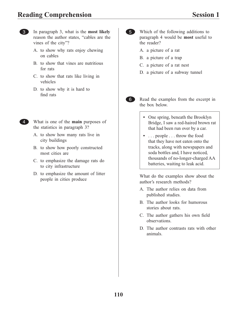

●<sup>3</sup> In paragraph 3, what is the **most likely** reason the author states, "cables are the vines of the city"?

- A. to show why rats enjoy chewing on cables
- B. to show that vines are nutritious for rats
- C. to show that rats like living in vehicles
- D. to show why it is hard to find rats



●<sup>4</sup> What is one of the **main** purposes of the statistics in paragraph 3?

- A. to show how many rats live in city buildings
- B. to show how poorly constructed most cities are
- C. to emphasize the damage rats do to city infrastructure
- D. to emphasize the amount of litter people in cities produce
- 
- ●<sup>5</sup> Which of the following additions to paragraph 4 would be **most** useful to the reader?
	- A. a picture of a rat
	- B. a picture of a trap
	- C. a picture of a rat nest
	- D. a picture of a subway tunnel
- 

6 Read the examples from the excerpt in the box below.

- One spring, beneath the Brooklyn Bridge, I saw a red-haired brown rat that had been run over by a car.
- **•**  . . . people . . . throw the food that they have not eaten onto the tracks, along with newspapers and soda bottles and, I have noticed, thousands of no-longer-charged AA batteries, waiting to leak acid.

What do the examples show about the author's research methods?

- A. The author relies on data from published studies.
- B. The author looks for humorous stories about rats.
- C. The author gathers his own field observations.
- D. The author contrasts rats with other animals.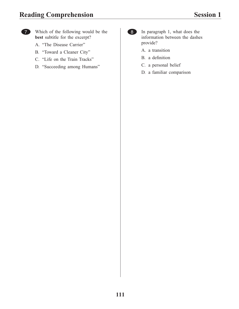

**7** Which of the following would be the **best** subtitle for the excerpt?

- A. "The Disease Carrier"
- B. "Toward a Cleaner City"
- C. "Life on the Train Tracks"
- D. "Succeeding among Humans"



8 In paragraph 1, what does the information between the dashes provide?

- A. a transition
- B. a definition
- C. a personal belief
- D. a familiar comparison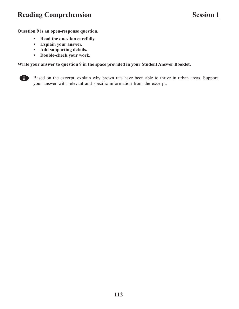**Question 9 is an open-response question.**

- **• Read the question carefully.**
- **• Explain your answer.**
- **• Add supporting details.**
- **• Double-check your work.**

**Write your answer to question 9 in the space provided in your Student Answer Booklet.**



**9** Based on the excerpt, explain why brown rats have been able to thrive in urban areas. Support your answer with relevant and specific information from the excerpt.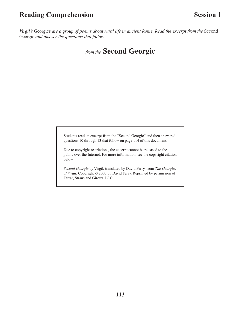Virgil's Georgics are a group of poems about rural life in ancient Rome. Read the excerpt from the Second Georgic *and answer the questions that follow.*

*from the* **Second Georgic**

Students read an excerpt from the "Second Georgic" and then answered questions 10 through 13 that follow on page 114 of this document.

Due to copyright restrictions, the excerpt cannot be released to the public over the Internet. For more information, see the copyright citation below.

*Second Georgic* by Virgil, translated by David Ferry, from *The Georgics of Virgil*. Copyright © 2005 by David Ferry. Reprinted by permission of Farrar, Straus and Giroux, LLC.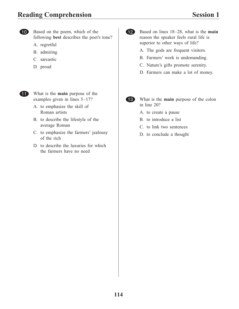

10 Based on the poem, which of the following **best** describes the poet's tone?

- A. regretful
- B. admiring
- C. sarcastic
- D. proud



**11** What is the **main** purpose of the examples given in lines 5–17?

- A. to emphasize the skill of Roman artists
- B. to describe the lifestyle of the average Roman
- C. to emphasize the farmers' jealousy of the rich
- D. to describe the luxuries for which the farmers have no need
- **12** Based on lines 18–28, what is the **main** reason the speaker feels rural life is superior to other ways of life?
	- A. The gods are frequent visitors.
	- B. Farmers' work is undemanding.
	- C. Nature's gifts promote serenity.
	- D. Farmers can make a lot of money.



- ●<sup>13</sup> What is the **main** purpose of the colon in line 20?
	- A. to create a pause
	- B. to introduce a list
	- C. to link two sentences
	- D. to conclude a thought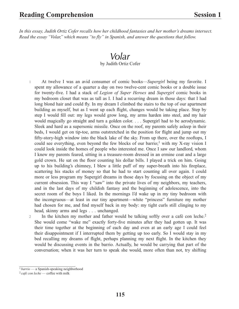*In this essay, Judith Ortiz Cofer recalls how her childhood fantasies and her mother's dreams intersect. Read the essay "Volar," which means "to fly" in Spanish, and answer the questions that follow.*

## *Volar*

#### by Judith Ortiz Cofer

- 1 At twelve I was an avid consumer of comic books—*Supergirl* being my favorite. I spent my allowance of a quarter a day on two twelve-cent comic books or a double issue for twenty-five. I had a stack of *Legion of Super Heroes* and *Supergirl* comic books in my bedroom closet that was as tall as I. I had a recurring dream in those days: that I had long blond hair and could fly. In my dream I climbed the stairs to the top of our apartment building as myself, but as I went up each flight, changes would be taking place. Step by step I would fill out: my legs would grow long, my arms harden into steel, and my hair would magically go straight and turn a golden color. . . . Supergirl had to be aerodynamic. Sleek and hard as a supersonic missile. Once on the roof, my parents safely asleep in their beds, I would get on tip-toe, arms outstretched in the position for flight and jump out my fifty-story-high window into the black lake of the sky. From up there, over the rooftops, I could see everything, even beyond the few blocks of our barrio;<sup>1</sup> with my X-ray vision I could look inside the homes of people who interested me. Once I saw our landlord, whom I knew my parents feared, sitting in a treasure-room dressed in an ermine coat and a large gold crown. He sat on the floor counting his dollar bills. I played a trick on him. Going up to his building's chimney, I blew a little puff of my super-breath into his fireplace, scattering his stacks of money so that he had to start counting all over again. I could more or less program my Supergirl dreams in those days by focusing on the object of my current obsession. This way I "saw" into the private lives of my neighbors, my teachers, and in the last days of my childish fantasy and the beginning of adolescence, into the secret room of the boys I liked. In the mornings I'd wake up in my tiny bedroom with the incongruous—at least in our tiny apartment—white "princess" furniture my mother had chosen for me, and find myself back in my body: my tight curls still clinging to my head, skinny arms and legs . . . unchanged.
- 2 In the kitchen my mother and father would be talking softly over a café con leche.<sup>2</sup> She would come "wake me" exactly forty-five minutes after they had gotten up. It was their time together at the beginning of each day and even at an early age I could feel their disappointment if I interrupted them by getting up too early. So I would stay in my bed recalling my dreams of flight, perhaps planning my next flight. In the kitchen they would be discussing events in the barrio. Actually, he would be carrying that part of the conversation; when it was her turn to speak she would, more often than not, try shifting

<sup>1</sup>*barrio* — a Spanish-speaking neighborhood

<sup>2</sup> *café con leche* — coffee with milk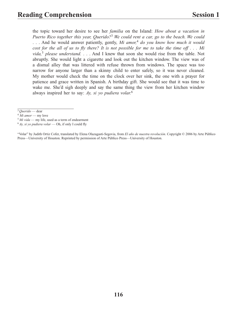the topic toward her desire to see her *familia* on the Island: *How about a vacation in Puerto Rico together this year, Querido?*<sup>3</sup> *We could rent a car, go to the beach. We could* . . . And he would answer patiently, gently, *Mi amor,*<sup>4</sup> *do you know how much it would cost for the all of us to fly there? It is not possible for me to take the time off . . . Mi vida,*<sup>5</sup> *please understand.* . . . And I knew that soon she would rise from the table. Not abruptly. She would light a cigarette and look out the kitchen window. The view was of a dismal alley that was littered with refuse thrown from windows. The space was too narrow for anyone larger than a skinny child to enter safely, so it was never cleaned. My mother would check the time on the clock over her sink, the one with a prayer for patience and grace written in Spanish. A birthday gift. She would see that it was time to wake me. She'd sigh deeply and say the same thing the view from her kitchen window always inspired her to say: *Ay, si yo pudiera volar.*<sup>6</sup>

"Volar" by Judith Ortiz Cofer, translated by Elena Olazagasti-Segovia, from *El año de nuestra revolución*. Copyright © 2006 by Arte Público Press—University of Houston. Reprinted by permission of Arte Público Press—University of Houston.

<sup>3</sup>*Querido* — dear

<sup>4</sup> *Mi amor* — my love

<sup>5</sup>*Mi vida* — my life, used as a term of endearment

<sup>6</sup>*Ay, si yo pudiera volar* — Oh, if only I could fly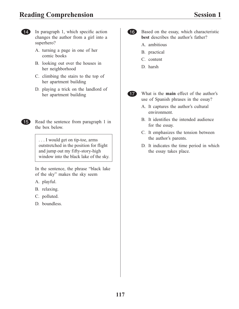

14 In paragraph 1, which specific action changes the author from a girl into a superhero?

- A. turning a page in one of her comic books
- B. looking out over the houses in her neighborhood
- C. climbing the stairs to the top of her apartment building
- D. playing a trick on the landlord of her apartment building



15 Read the sentence from paragraph 1 in the box below.

> . . . I would get on tip-toe, arms outstretched in the position for flight and jump out my fifty-story-high window into the black lake of the sky.

In the sentence, the phrase "black lake of the sky" makes the sky seem

- A. playful.
- B. relaxing.
- C. polluted.
- D. boundless.
- 16 Based on the essay, which characteristic **best** describes the author's father?
	- A. ambitious
	- B. practical
	- C. content
	- D. harsh

- ●<sup>17</sup> What is the **main** effect of the author's use of Spanish phrases in the essay?
	- A. It captures the author's cultural environment.
	- B. It identifies the intended audience for the essay.
	- C. It emphasizes the tension between the author's parents.
	- D. It indicates the time period in which the essay takes place.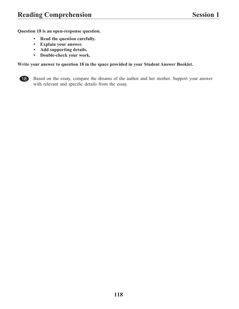**Question 18 is an open-response question.**

- **• Read the question carefully.**
- **• Explain your answer.**
- **• Add supporting details.**
- **• Double-check your work.**

**Write your answer to question 18 in the space provided in your Student Answer Booklet.**



B Based on the essay, compare the dreams of the author and her mother. Support your answer with relevant and specific details from the essay.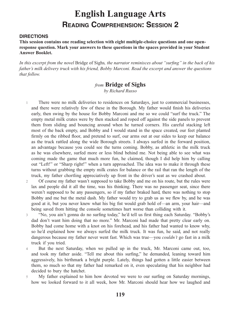## **English Language Arts Reading Comprehension: Session 2**

#### **DIRECTIONS**

**This session contains one reading selection with eight multiple-choice questions and one openresponse question. Mark your answers to these questions in the spaces provided in your Student Answer Booklet.**

*In this excerpt from the novel* Bridge of Sighs*, the narrator reminisces about "surfing" in the back of his father's milk delivery truck with his friend, Bobby Marconi. Read the excerpt and answer the questions that follow.* 

### *from* **Bridge of Sighs**

*by Richard Russo*

1 There were no milk deliveries to residences on Saturdays, just to commercial businesses, and there were relatively few of these in the Borough. My father would finish his deliveries early, then swing by the house for Bobby Marconi and me so we could "surf the truck." The empty metal milk crates were by then stacked and roped off against the side panels to prevent them from sliding and bouncing around when he turned corners. His careful stacking left most of the back empty, and Bobby and I would stand in the space created, our feet planted firmly on the ribbed floor, and pretend to surf, our arms out at our sides to keep our balance as the truck rattled along the wide Borough streets. I always surfed in the forward position, an advantage because you could see the turns coming. Bobby, as athletic in the milk truck as he was elsewhere, surfed more or less blind behind me. Not being able to see what was coming made the game that much more fun, he claimed, though I did help him by calling out "Left!" or "Sharp right!" when a turn approached. The idea was to make it through these turns without grabbing the empty milk crates for balance or the rail that ran the length of the truck, my father chortling appreciatively up front in the driver's seat as we crashed about.

2 Of course my father wasn't supposed to take Bobby and me on his route, but the rules were lax and people did it all the time, was his thinking. There was no passenger seat, since there weren't supposed to be any passengers, so if my father braked hard, there was nothing to stop Bobby and me but the metal dash. My father would try to grab us as we flew by, and he was good at it, but you never knew what his big fist would grab hold of—an arm, your hair—and being saved from hitting the console sometimes hurt worse than colliding with it.

3 "No, you ain't gonna do no surfing today," he'd tell us first thing each Saturday. "Bobby's dad don't want him doing that no more." Mr. Marconi had made that pretty clear early on. Bobby had come home with a knot on his forehead, and his father had wanted to know why, so he'd explained how we always surfed the milk truck. It was fun, he said, and not really dangerous because my father never went fast. Which was true—you *couldn't* go fast in a milk truck if you tried.

4 But the next Saturday, when we pulled up in the truck, Mr. Marconi came out, too, and took my father aside. "Tell me about this surfing," he demanded, leaning toward him aggressively, his birthmark a bright purple. Lately, things had gotten a little easier between them, so much so that my father had remarked on it, even speculating that his neighbor had decided to bury the hatchet.

5 My father explained to him how devoted we were to our surfing on Saturday mornings, how we looked forward to it all week, how Mr. Marconi should hear how we laughed and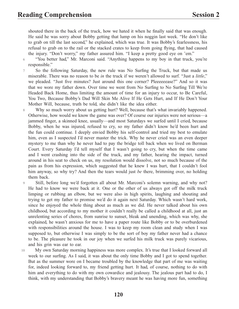shouted there in the back of the truck, how we hated it when he finally said that was enough. He said he was sorry about Bobby getting that lump on his noggin last week. "He don't like to grab on till the last second," he explained, which was true. It was Bobby's fearlessness, his refusal to grab on to the rail or the stacked crates to keep from going flying, that had caused the injury. "Don't worry," my father assured him. "I keep a pretty good eye on 'em."

6 "You better had," Mr. Marconi said. "Anything happens to my boy in that truck, you're responsible."

- 7 So the following Saturday, the new rule was No Surfing the Truck, but that made us miserable. There was no reason to be *in* the truck if we weren't allowed to surf. "Just a *little*," we pleaded. "Just five minutes? Just around this one corner? Pleeeeeease?" And so it was that we wore my father down. Over time we went from No Surfing to No Surfing Till We're Headed Back Home, thus limiting the amount of time for an injury to occur, to Be Careful, You Two, Because Bobby's Dad Will Skin Me Alive If He Gets Hurt, and If He Don't Your Mother Will, because, truth be told, she didn't like the idea either.
- 8 Why so much worry about us getting hurt? Well, because that's what invariably happened. Otherwise, how would we know the game was over? Of course our injuries were not serious—a jammed finger, a skinned knee, usually—and most Saturdays we surfed until I cried, because Bobby, when he was injured, refused to cry, so my father didn't know he'd been hurt and the fun could continue. I deeply envied Bobby his self-control and tried my best to emulate him, even as I suspected I'd never master the trick. Why he never cried was an even deeper mystery to me than why he never had to pay the bridge toll back when we lived on Berman Court. Every Saturday I'd tell myself that I wasn't going to cry, but when the time came and I went crashing into the side of the truck, and my father, hearing the impact, turned around in his seat to check on us, my resolution would dissolve, not so much because of the pain as from his expression, which suggested that he knew I was hurt, that I couldn't fool him anyway, so why try? And then the tears would just *be* there, brimming over, no holding them back.
- 9 Still, before long we'd forgotten all about Mr. Marconi's solemn warning, and why not? He had to know we were back at it. One or the other of us always got off the milk truck limping or rubbing an elbow, but we were also in high spirits, laughing and shouting and trying to get my father to promise we'd do it again next Saturday. Which wasn't hard work, since he enjoyed the whole thing about as much as we did. He never talked about his own childhood, but according to my mother it couldn't really be called a childhood at all, just an unrelenting series of chores, from sunrise to sunset, bleak and unending, which was why, she explained, he wasn't anxious for me to have a paper route like Bobby or to be overburdened with responsibilities around the house. I was to keep my room clean and study when I was supposed to, but otherwise I was simply to be the sort of boy my father never had a chance to be. The pleasure he took in our joy when we surfed his milk truck was purely vicarious, and his grin was ear to ear.
- 10 My own Saturday morning happiness was more complex. It's true that I looked forward all week to our surfing. As I said, it was about the only time Bobby and I got to spend together. But as the summer wore on I became troubled by the knowledge that part of me was waiting for, indeed looking forward to, my friend getting hurt. It had, of course, nothing to do with him and everything to do with my own cowardice and jealousy. The jealous part had to do, I think, with my understanding that Bobby's bravery meant he was having more fun, something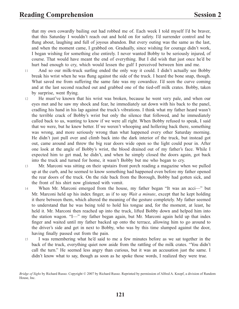that my own cowardly bailing out had robbed me of. Each week I told myself I'd be braver, that this Saturday I wouldn't reach out and hold on for safety. I'd surrender control and be flung about, laughing and full of joyous abandon. But every outing was the same as the last, and when the moment came, I grabbed on. Gradually, since wishing for courage didn't work, I began wishing for something else entirely. I never wanted Bobby to be seriously injured, of course. That would have meant the end of everything. But I did wish that just once he'd be hurt bad enough to cry, which would lessen the gulf I perceived between him and me.

- 11 And so our milk-truck surfing ended the only way it could. I didn't actually see Bobby break his wrist when he was flung against the side of the truck. I heard the bone snap, though. What saved me from suffering the same fate was my cowardice. I'd seen the curve coming and at the last second reached out and grabbed one of the tied-off milk crates. Bobby, taken by surprise, went flying.
- 12 He must've known that his wrist was broken, because he went very pale, and when our eyes met and he saw my shock and fear, he immediately sat down with his back to the panel, cradling his hand in his lap against the truck's vibrations. I think what my father heard wasn't the terrible crack of Bobby's wrist but only the silence that followed, and he immediately called back to us, wanting to know if we were all right. When Bobby refused to speak, I said that we were, but he knew better. If we weren't whooping and hollering back there, something was wrong, and more seriously wrong than what happened every other Saturday morning. He didn't just pull over and climb back into the dark interior of the truck, but instead got out, came around and threw the big rear doors wide open so the light could pour in. After one look at the angle of Bobby's wrist, the blood drained out of my father's face. While I expected him to get mad, he didn't, and when he simply closed the doors again, got back into the truck and turned for home, it wasn't Bobby but me who began to cry.
- 13 Mr. Marconi was sitting on their upstairs front porch reading a magazine when we pulled up at the curb, and he seemed to know something had happened even before my father opened the rear doors of the truck. On the ride back from the Borough, Bobby had gotten sick, and the front of his shirt now glistened with vomit.
- 14 When Mr. Marconi emerged from the house, my father began "It was an acci—" but Mr. Marconi held up his index finger, as if to say *Wait a minute*, except that he kept holding it there between them, which altered the meaning of the gesture completely. My father seemed to understand that he was being told to hold his tongue and, for the moment, at least, he held it. Mr. Marconi then reached up into the truck, lifted Bobby down and helped him into the station wagon. "I—" my father began again, but Mr. Marconi again held up that index finger and waited until my father backed up onto the terrace, allowing him to go around to the driver's side and get in next to Bobby, who was by this time slumped against the door, having finally passed out from the pain.
- 15 I was remembering what he'd said to me a few minutes before as we sat together in the back of the truck, everything quiet now aside from the rattling of the milk crates. "You didn't call the turn." He seemed less angry than curious, but it was an accusation just the same. I didn't know what to say, though as soon as he spoke those words, I realized they were true.

*Bridge of Sighs* by Richard Russo. Copyright © 2007 by Richard Russo. Reprinted by permission of Alfred A. Knopf, a division of Random House, Inc.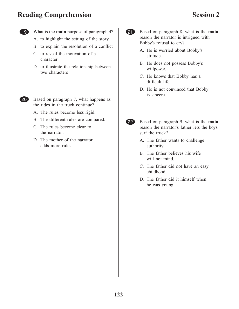### **Reading Comprehension Session 2**

- **19** What is the **main** purpose of paragraph 4?
	- A. to highlight the setting of the story
	- B. to explain the resolution of a conflict
	- C. to reveal the motivation of a character
	- D. to illustrate the relationship between two characters
- 

20 Based on paragraph 7, what happens as the rides in the truck continue?

- A. The rules become less rigid.
- B. The different rules are compared.
- C. The rules become clear to the narrator.
- D. The mother of the narrator adds more rules.
- **21** Based on paragraph 8, what is the **main** reason the narrator is intrigued with Bobby's refusal to cry?
	- A. He is worried about Bobby's attitude.
	- B. He does not possess Bobby's willpower.
	- C. He knows that Bobby has a difficult life.
	- D. He is not convinced that Bobby is sincere.
- 

**22** Based on paragraph 9, what is the **main** reason the narrator's father lets the boys surf the truck?

- A. The father wants to challenge authority.
- B. The father believes his wife will not mind.
- C. The father did not have an easy childhood.
- D. The father did it himself when he was young.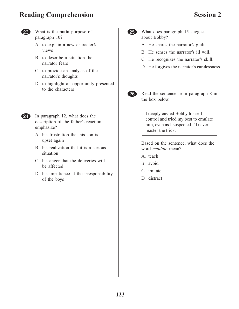## **Reading Comprehension Session 2**



- ●<sup>23</sup> What is the **main** purpose of paragraph 10?
	- A. to explain a new character's views
	- B. to describe a situation the narrator fears
	- C. to provide an analysis of the narrator's thoughts
	- D. to highlight an opportunity presented to the characters



**24** In paragraph 12, what does the description of the father's reaction emphasize?

- A. his frustration that his son is upset again
- B. his realization that it is a serious situation
- C. his anger that the deliveries will be affected
- D. his impatience at the irresponsibility of the boys
- **25** What does paragraph 15 suggest about Bobby?
	- A. He shares the narrator's guilt.
	- B. He senses the narrator's ill will.
	- C. He recognizes the narrator's skill.
	- D. He forgives the narrator's carelessness.



**26** Read the sentence from paragraph 8 in the box below.

> I deeply envied Bobby his selfcontrol and tried my best to emulate him, even as I suspected I'd never master the trick.

Based on the sentence, what does the word *emulate* mean?

- A. teach
- B. avoid
- C. imitate
- D. distract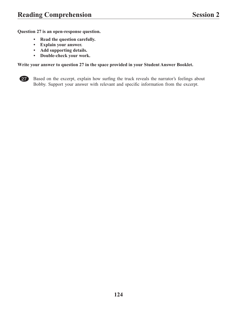**Question 27 is an open-response question.**

- **• Read the question carefully.**
- **• Explain your answer.**
- **• Add supporting details.**
- **• Double-check your work.**

**Write your answer to question 27 in the space provided in your Student Answer Booklet.**



27 Based on the excerpt, explain how surfing the truck reveals the narrator's feelings about Bobby. Support your answer with relevant and specific information from the excerpt.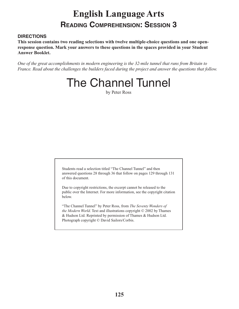## **English Language Arts Reading Comprehension: Session 3**

#### **DIRECTIONS**

**This session contains two reading selections with twelve multiple-choice questions and one openresponse question. Mark your answers to these questions in the spaces provided in your Student Answer Booklet.**

*One of the great accomplishments in modern engineering is the 32-mile tunnel that runs from Britain to France. Read about the challenges the builders faced during the project and answer the questions that follow.*

# The Channel Tunnel

by Peter Ross

Students read a selection titled "The Channel Tunnel" and then answered questions 28 through 36 that follow on pages 129 through 131 of this document. Due to copyright restrictions, the excerpt cannot be released to the public over the Internet. For more information, see the copyright citation below.

"The Channel Tunnel" by Peter Ross, from *The Seventy Wonders of the Modern World*. Text and illustrations copyright © 2002 by Thames & Hudson Ltd. Reprinted by permission of Thames & Hudson Ltd. Photograph copyright © David Sailors/Corbis.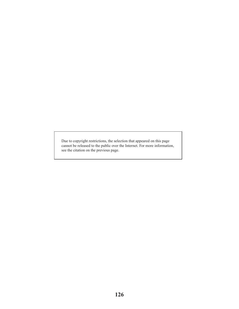Due to copyright restrictions, the selection that appeared on this page cannot be released to the public over the Internet. For more information, see the citation on the previous page.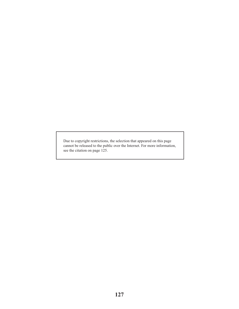Due to copyright restrictions, the selection that appeared on this page cannot be released to the public over the Internet. For more information, see the citation on page 125.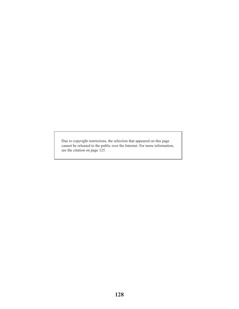Due to copyright restrictions, the selection that appeared on this page cannot be released to the public over the Internet. For more information, see the citation on page 125.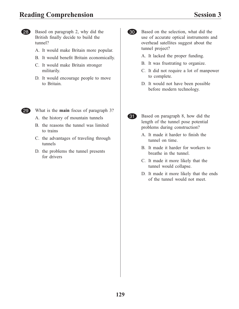

**28** Based on paragraph 2, why did the British finally decide to build the tunnel?

- A. It would make Britain more popular.
- B. It would benefit Britain economically.
- C. It would make Britain stronger militarily.
- D. It would encourage people to move to Britain.
- 

**29** What is the **main** focus of paragraph 3?

- A. the history of mountain tunnels
- B. the reasons the tunnel was limited to trains
- C. the advantages of traveling through tunnels
- D. the problems the tunnel presents for drivers
- ●<sup>30</sup> Based on the selection, what did the use of accurate optical instruments and overhead satellites suggest about the tunnel project?
	- A. It lacked the proper funding.
	- B. It was frustrating to organize.
	- C. It did not require a lot of manpower to complete.
	- D. It would not have been possible before modern technology.
- 

**31** Based on paragraph 8, how did the length of the tunnel pose potential problems during construction?

- A. It made it harder to finish the tunnel on time.
- B. It made it harder for workers to breathe in the tunnel.
- C. It made it more likely that the tunnel would collapse.
- D. It made it more likely that the ends of the tunnel would not meet.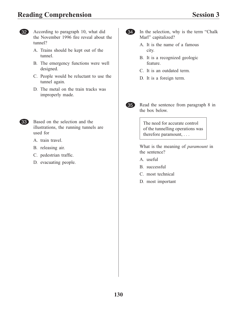

●<sup>32</sup> According to paragraph 10, what did the November 1996 fire reveal about the tunnel?

- A. Trains should be kept out of the tunnel.
- B. The emergency functions were well designed.
- C. People would be reluctant to use the tunnel again.
- D. The metal on the train tracks was improperly made.



**85** Read the sentence from paragraph 8 in the box below.

> The need for accurate control of the tunnelling operations was therefore paramount, . . .

What is the meaning of *paramount* in the sentence?

- A. useful
- B. successful
- C. most technical
- D. most important



**33** Based on the selection and the illustrations, the running tunnels are used for

- A. train travel.
- B. releasing air.
- C. pedestrian traffic.
- D. evacuating people.
- **34** In the selection, why is the term "Chalk" Marl" capitalized?
	- A. It is the name of a famous city.
	- B. It is a recognized geologic feature.
	- C. It is an outdated term.
	- D. It is a foreign term.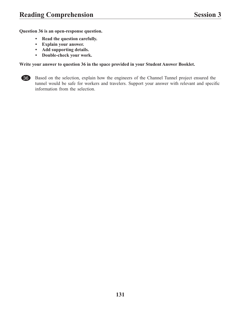**Question 36 is an open-response question.**

- **• Read the question carefully.**
- **• Explain your answer.**
- **• Add supporting details.**
- **• Double-check your work.**

#### **Write your answer to question 36 in the space provided in your Student Answer Booklet.**



86 Based on the selection, explain how the engineers of the Channel Tunnel project ensured the tunnel would be safe for workers and travelers. Support your answer with relevant and specific information from the selection.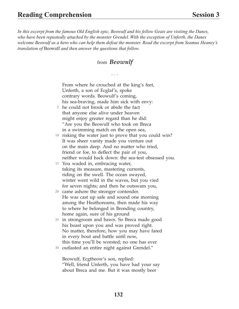*In this excerpt from the famous Old English epic, Beowulf and his fellow Geats are visiting the Danes, who have been repeatedly attacked by the monster Grendel. With the exception of Unferth, the Danes welcome Beowulf as a hero who can help them defeat the monster. Read the excerpt from Seamus Heaney's translation of* Beowulf *and then answer the questions that follow.*

#### from *Beowulf*

. . .

From where he crouched at the king's feet, Unferth, a son of Ecglaf's, spoke contrary words. Beowulf's coming, his sea-braving, made him sick with envy:

- he could not brook or abide the fact 5 that anyone else alive under heaven might enjoy greater regard than he did: "Are you the Beowulf who took on Breca in a swimming match on the open sea,
- <sup>10</sup> risking the water just to prove that you could win? It was sheer vanity made you venture out on the main deep. And no matter who tried, friend or foe, to deflect the pair of you, neither would back down: the sea-test obsessed you.
- 15 You waded in, embracing water, taking its measure, mastering currents, riding on the swell. The ocean swayed, winter went wild in the waves, but you vied for seven nights; and then he outswam you,
- 20 came ashore the stronger contender. He was cast up safe and sound one morning among the Heathoreams, then made his way to where he belonged in Bronding country, home again, sure of his ground
- in strongroom and bawn. So Breca made good 25 his boast upon you and was proved right. No matter, therefore, how you may have fared in every bout and battle until now, this time you'll be worsted; no one has ever
- 30 outlasted an entire night against Grendel."

Beowulf, Ecgtheow's son, replied: "Well, friend Unferth, you have had your say about Breca and me. But it was mostly beer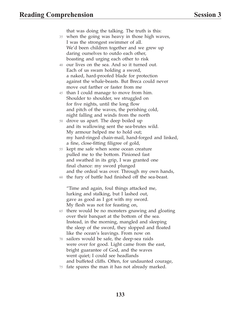that was doing the talking. The truth is this:

- when the going was heavy in those high waves, 35 I was the strongest swimmer of all. We'd been children together and we grew up daring ourselves to outdo each other, boasting and urging each other to risk
- 40 our lives on the sea. And so it turned out. Each of us swam holding a sword, a naked, hard-proofed blade for protection against the whale-beasts. But Breca could never move out farther or faster from me
- 45 than I could manage to move from him. Shoulder to shoulder, we struggled on for five nights, until the long flow and pitch of the waves, the perishing cold, night falling and winds from the north
- drove us apart. The deep boiled up 50 and its wallowing sent the sea-brutes wild. My armour helped me to hold out; my hard-ringed chain-mail, hand-forged and linked, a fine, close-fitting filigree of gold,
- 55 kept me safe when some ocean creature pulled me to the bottom. Pinioned fast and swathed in its grip, I was granted one final chance: my sword plunged and the ordeal was over. Through my own hands, the fury of battle had finished off the sea-beast. 60

"Time and again, foul things attacked me, lurking and stalking, but I lashed out, gave as good as I got with my sword. My flesh was not for feasting on,

- there would be no monsters gnawing and gloating 65 over their banquet at the bottom of the sea. Instead, in the morning, mangled and sleeping the sleep of the sword, they slopped and floated like the ocean's leavings. From now on
- 70 sailors would be safe, the deep-sea raids were over for good. Light came from the east, bright guarantee of God, and the waves went quiet; I could see headlands and buffeted cliffs. Often, for undaunted courage,
- 75 fate spares the man it has not already marked.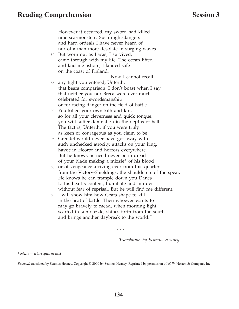However it occurred, my sword had killed nine sea-monsters. Such night-dangers and hard ordeals I have never heard of nor of a man more desolate in surging waves. But worn out as I was, I survived, 80 came through with my life. The ocean lifted and laid me ashore, I landed safe on the coast of Finland. Now I cannot recall any fight you entered, Unferth, 85 that bears comparison. I don't boast when I say that neither you nor Breca were ever much celebrated for swordsmanship or for facing danger on the field of battle. You killed your own kith and kin, 90 so for all your cleverness and quick tongue, you will suffer damnation in the depths of hell. The fact is, Unferth, if you were truly as keen or courageous as you claim to be 95 Grendel would never have got away with such unchecked atrocity, attacks on your king, havoc in Heorot and horrors everywhere. But he knows he need never be in dread of your blade making a mizzle\* of his blood

100 or of vengeance arriving ever from this quarter from the Victory-Shieldings, the shoulderers of the spear. He knows he can trample down you Danes to his heart's content, humiliate and murder without fear of reprisal. But he will find me different.

105 I will show him how Geats shape to kill in the heat of battle. Then whoever wants to may go bravely to mead, when morning light, scarfed in sun-dazzle, shines forth from the south and brings another daybreak to the world."

*—Translation by Seamus Heaney*

\* *mizzle* — a fine spray or mist

. . .

*Beowulf*, translated by Seamus Heaney. Copyright © 2000 by Seamus Heaney. Reprinted by permission of W. W. Norton & Company, Inc.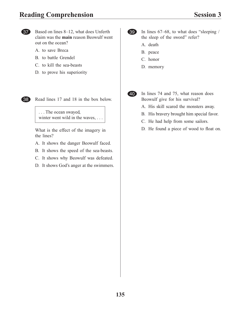

- A. to save Breca
- B. to battle Grendel
- C. to kill the sea-beasts
- D. to prove his superiority



●<sup>38</sup> Read lines 17 and 18 in the box below.

. . . The ocean swayed, winter went wild in the waves, ...

What is the effect of the imagery in the lines?

- A. It shows the danger Beowulf faced.
- B. It shows the speed of the sea-beasts.
- C. It shows why Beowulf was defeated.
- D. It shows God's anger at the swimmers.
- ●<sup>39</sup> In lines 67–68, to what does "sleeping / the sleep of the sword" refer?
	- A. death
	- B. peace
	- C. honor
	- D. memory



- ●<sup>40</sup> In lines 74 and 75, what reason does Beowulf give for his survival?
	- A. His skill scared the monsters away.
	- B. His bravery brought him special favor.
	- C. He had help from some sailors.
	- D. He found a piece of wood to float on.